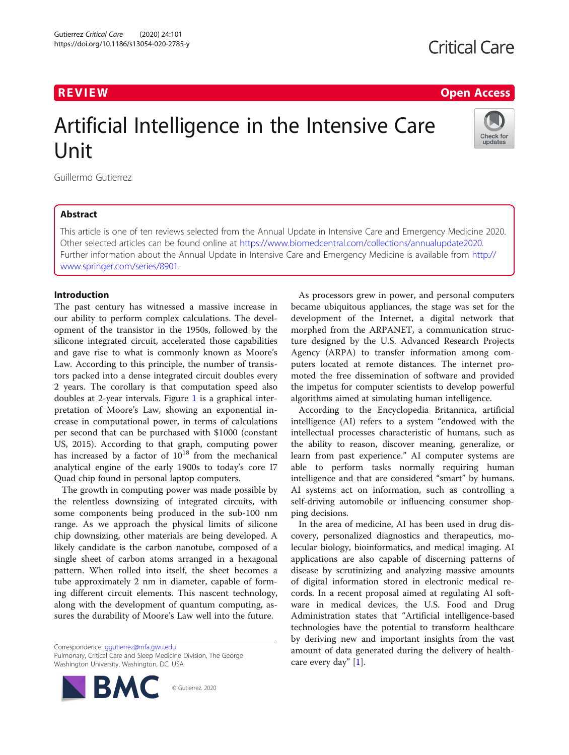# R EVI EW Open Access

Check for update:

# Artificial Intelligence in the Intensive Care Unit



# Abstract

This article is one of ten reviews selected from the Annual Update in Intensive Care and Emergency Medicine 2020. Other selected articles can be found online at [https://www.biomedcentral.com/collections/annualupdate2020.](https://www.biomedcentral.com/collections/annualupdate2020) Further information about the Annual Update in Intensive Care and Emergency Medicine is available from [http://](http://www.springer.com/series/8901) [www.springer.com/series/8901](http://www.springer.com/series/8901).

### Introduction

The past century has witnessed a massive increase in our ability to perform complex calculations. The development of the transistor in the 1950s, followed by the silicone integrated circuit, accelerated those capabilities and gave rise to what is commonly known as Moore's Law. According to this principle, the number of transistors packed into a dense integrated circuit doubles every 2 years. The corollary is that computation speed also doubles at 2-year intervals. Figure [1](#page-1-0) is a graphical interpretation of Moore's Law, showing an exponential increase in computational power, in terms of calculations per second that can be purchased with \$1000 (constant US, 2015). According to that graph, computing power has increased by a factor of  $10^{18}$  from the mechanical analytical engine of the early 1900s to today's core I7 Quad chip found in personal laptop computers.

The growth in computing power was made possible by the relentless downsizing of integrated circuits, with some components being produced in the sub-100 nm range. As we approach the physical limits of silicone chip downsizing, other materials are being developed. A likely candidate is the carbon nanotube, composed of a single sheet of carbon atoms arranged in a hexagonal pattern. When rolled into itself, the sheet becomes a tube approximately 2 nm in diameter, capable of forming different circuit elements. This nascent technology, along with the development of quantum computing, assures the durability of Moore's Law well into the future.

Correspondence: [ggutierrez@mfa.gwu.edu](mailto:ggutierrez@mfa.gwu.edu)

Pulmonary, Critical Care and Sleep Medicine Division, The George Washington University, Washington, DC, USA



© Gutierrez. 2020

As processors grew in power, and personal computers became ubiquitous appliances, the stage was set for the development of the Internet, a digital network that morphed from the ARPANET, a communication structure designed by the U.S. Advanced Research Projects Agency (ARPA) to transfer information among computers located at remote distances. The internet promoted the free dissemination of software and provided the impetus for computer scientists to develop powerful algorithms aimed at simulating human intelligence.

According to the Encyclopedia Britannica, artificial intelligence (AI) refers to a system "endowed with the intellectual processes characteristic of humans, such as the ability to reason, discover meaning, generalize, or learn from past experience." AI computer systems are able to perform tasks normally requiring human intelligence and that are considered "smart" by humans. AI systems act on information, such as controlling a self-driving automobile or influencing consumer shopping decisions.

In the area of medicine, AI has been used in drug discovery, personalized diagnostics and therapeutics, molecular biology, bioinformatics, and medical imaging. AI applications are also capable of discerning patterns of disease by scrutinizing and analyzing massive amounts of digital information stored in electronic medical records. In a recent proposal aimed at regulating AI software in medical devices, the U.S. Food and Drug Administration states that "Artificial intelligence-based technologies have the potential to transform healthcare by deriving new and important insights from the vast amount of data generated during the delivery of healthcare every day" [[1](#page-7-0)].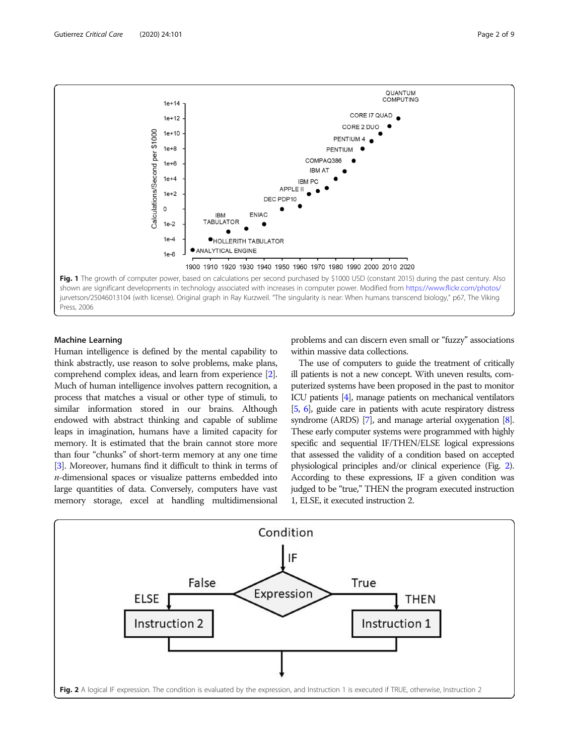<span id="page-1-0"></span>

#### Machine Learning

Human intelligence is defined by the mental capability to think abstractly, use reason to solve problems, make plans, comprehend complex ideas, and learn from experience [[2](#page-7-0)]. Much of human intelligence involves pattern recognition, a process that matches a visual or other type of stimuli, to similar information stored in our brains. Although endowed with abstract thinking and capable of sublime leaps in imagination, humans have a limited capacity for memory. It is estimated that the brain cannot store more than four "chunks" of short-term memory at any one time [[3](#page-7-0)]. Moreover, humans find it difficult to think in terms of  $n$ -dimensional spaces or visualize patterns embedded into large quantities of data. Conversely, computers have vast memory storage, excel at handling multidimensional

problems and can discern even small or "fuzzy" associations within massive data collections.

The use of computers to guide the treatment of critically ill patients is not a new concept. With uneven results, computerized systems have been proposed in the past to monitor ICU patients [\[4\]](#page-7-0), manage patients on mechanical ventilators [[5](#page-7-0), [6\]](#page-7-0), guide care in patients with acute respiratory distress syndrome (ARDS) [\[7\]](#page-7-0), and manage arterial oxygenation [\[8\]](#page-7-0). These early computer systems were programmed with highly specific and sequential IF/THEN/ELSE logical expressions that assessed the validity of a condition based on accepted physiological principles and/or clinical experience (Fig. 2). According to these expressions, IF a given condition was judged to be "true," THEN the program executed instruction 1, ELSE, it executed instruction 2.

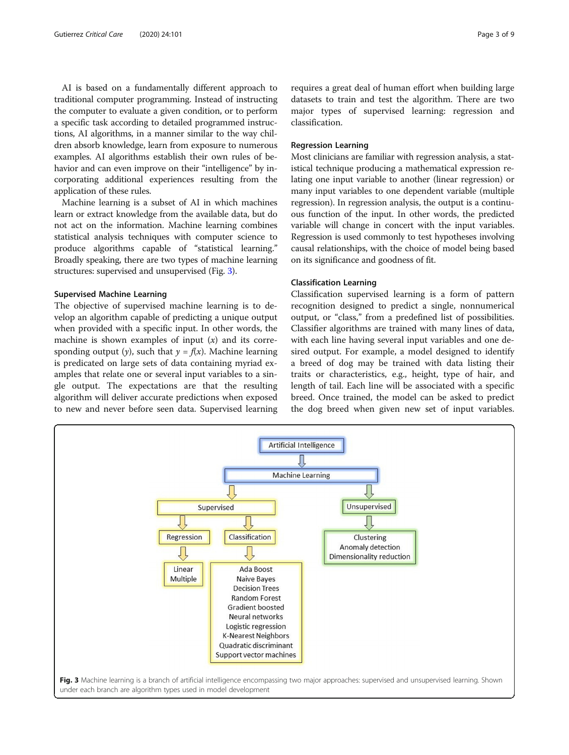<span id="page-2-0"></span>AI is based on a fundamentally different approach to traditional computer programming. Instead of instructing the computer to evaluate a given condition, or to perform a specific task according to detailed programmed instructions, AI algorithms, in a manner similar to the way children absorb knowledge, learn from exposure to numerous examples. AI algorithms establish their own rules of behavior and can even improve on their "intelligence" by incorporating additional experiences resulting from the application of these rules.

Machine learning is a subset of AI in which machines learn or extract knowledge from the available data, but do not act on the information. Machine learning combines statistical analysis techniques with computer science to produce algorithms capable of "statistical learning." Broadly speaking, there are two types of machine learning structures: supervised and unsupervised (Fig. 3).

#### Supervised Machine Learning

The objective of supervised machine learning is to develop an algorithm capable of predicting a unique output when provided with a specific input. In other words, the machine is shown examples of input  $(x)$  and its corresponding output (y), such that  $y = f(x)$ . Machine learning is predicated on large sets of data containing myriad examples that relate one or several input variables to a single output. The expectations are that the resulting algorithm will deliver accurate predictions when exposed to new and never before seen data. Supervised learning requires a great deal of human effort when building large datasets to train and test the algorithm. There are two major types of supervised learning: regression and classification.

#### Regression Learning

Most clinicians are familiar with regression analysis, a statistical technique producing a mathematical expression relating one input variable to another (linear regression) or many input variables to one dependent variable (multiple regression). In regression analysis, the output is a continuous function of the input. In other words, the predicted variable will change in concert with the input variables. Regression is used commonly to test hypotheses involving causal relationships, with the choice of model being based on its significance and goodness of fit.

#### Classification Learning

Classification supervised learning is a form of pattern recognition designed to predict a single, nonnumerical output, or "class," from a predefined list of possibilities. Classifier algorithms are trained with many lines of data, with each line having several input variables and one desired output. For example, a model designed to identify a breed of dog may be trained with data listing their traits or characteristics, e.g., height, type of hair, and length of tail. Each line will be associated with a specific breed. Once trained, the model can be asked to predict the dog breed when given new set of input variables.

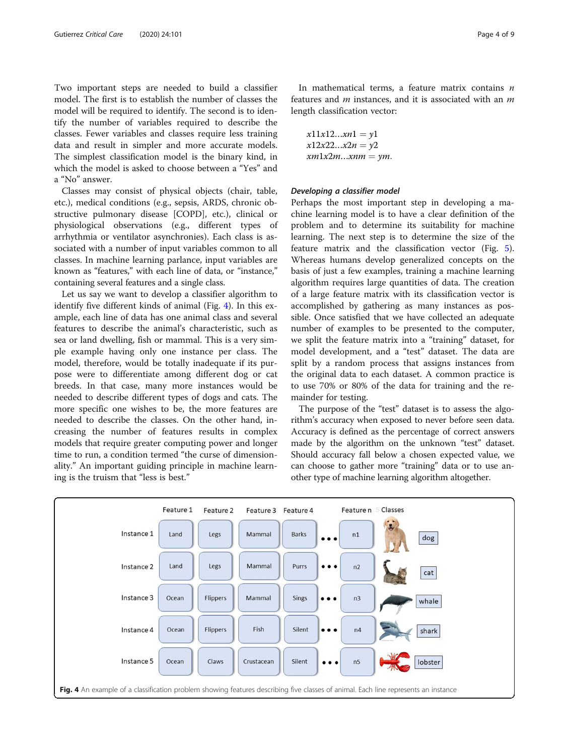Two important steps are needed to build a classifier model. The first is to establish the number of classes the model will be required to identify. The second is to identify the number of variables required to describe the classes. Fewer variables and classes require less training data and result in simpler and more accurate models. The simplest classification model is the binary kind, in which the model is asked to choose between a "Yes" and a "No" answer.

Classes may consist of physical objects (chair, table, etc.), medical conditions (e.g., sepsis, ARDS, chronic obstructive pulmonary disease [COPD], etc.), clinical or physiological observations (e.g., different types of arrhythmia or ventilator asynchronies). Each class is associated with a number of input variables common to all classes. In machine learning parlance, input variables are known as "features," with each line of data, or "instance," containing several features and a single class.

Let us say we want to develop a classifier algorithm to identify five different kinds of animal (Fig. 4). In this example, each line of data has one animal class and several features to describe the animal's characteristic, such as sea or land dwelling, fish or mammal. This is a very simple example having only one instance per class. The model, therefore, would be totally inadequate if its purpose were to differentiate among different dog or cat breeds. In that case, many more instances would be needed to describe different types of dogs and cats. The more specific one wishes to be, the more features are needed to describe the classes. On the other hand, increasing the number of features results in complex models that require greater computing power and longer time to run, a condition termed "the curse of dimensionality." An important guiding principle in machine learning is the truism that "less is best."

In mathematical terms, a feature matrix contains  $n$ features and  $m$  instances, and it is associated with an  $m$ length classification vector:

$$
x11x12...xn1 = y1\nx12x22...x2n = y2\nxm1x2m...xnm = ym.
$$

#### Developing a classifier model

Perhaps the most important step in developing a machine learning model is to have a clear definition of the problem and to determine its suitability for machine learning. The next step is to determine the size of the feature matrix and the classification vector (Fig. [5](#page-4-0)). Whereas humans develop generalized concepts on the basis of just a few examples, training a machine learning algorithm requires large quantities of data. The creation of a large feature matrix with its classification vector is accomplished by gathering as many instances as possible. Once satisfied that we have collected an adequate number of examples to be presented to the computer, we split the feature matrix into a "training" dataset, for model development, and a "test" dataset. The data are split by a random process that assigns instances from the original data to each dataset. A common practice is to use 70% or 80% of the data for training and the remainder for testing.

The purpose of the "test" dataset is to assess the algorithm's accuracy when exposed to never before seen data. Accuracy is defined as the percentage of correct answers made by the algorithm on the unknown "test" dataset. Should accuracy fall below a chosen expected value, we can choose to gather more "training" data or to use another type of machine learning algorithm altogether.

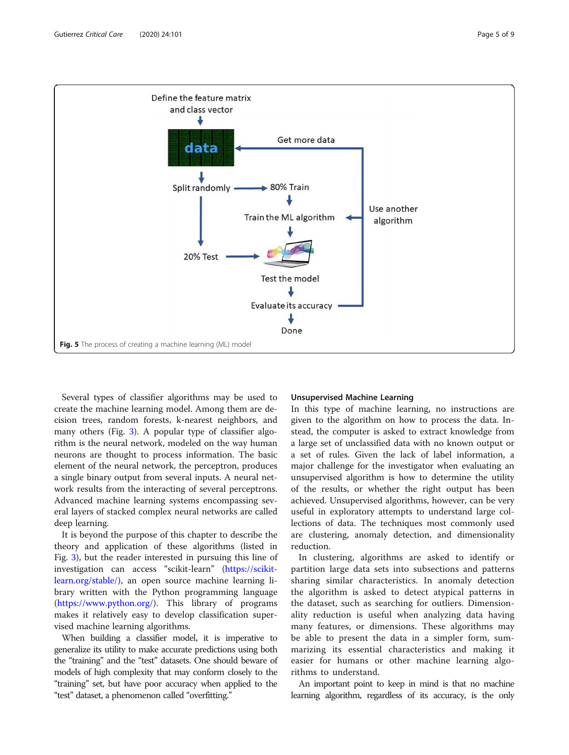<span id="page-4-0"></span>

Several types of classifier algorithms may be used to create the machine learning model. Among them are decision trees, random forests, k-nearest neighbors, and many others (Fig. [3](#page-2-0)). A popular type of classifier algorithm is the neural network, modeled on the way human neurons are thought to process information. The basic element of the neural network, the perceptron, produces a single binary output from several inputs. A neural network results from the interacting of several perceptrons. Advanced machine learning systems encompassing several layers of stacked complex neural networks are called deep learning.

It is beyond the purpose of this chapter to describe the theory and application of these algorithms (listed in Fig. [3\)](#page-2-0), but the reader interested in pursuing this line of investigation can access "scikit-learn" ([https://scikit](https://scikit-learn.org/stable/)[learn.org/stable/](https://scikit-learn.org/stable/)), an open source machine learning library written with the Python programming language (<https://www.python.org/>). This library of programs makes it relatively easy to develop classification supervised machine learning algorithms.

When building a classifier model, it is imperative to generalize its utility to make accurate predictions using both the "training" and the "test" datasets. One should beware of models of high complexity that may conform closely to the "training" set, but have poor accuracy when applied to the "test" dataset, a phenomenon called "overfitting."

#### Unsupervised Machine Learning

In this type of machine learning, no instructions are given to the algorithm on how to process the data. Instead, the computer is asked to extract knowledge from a large set of unclassified data with no known output or a set of rules. Given the lack of label information, a major challenge for the investigator when evaluating an unsupervised algorithm is how to determine the utility of the results, or whether the right output has been achieved. Unsupervised algorithms, however, can be very useful in exploratory attempts to understand large collections of data. The techniques most commonly used are clustering, anomaly detection, and dimensionality reduction.

In clustering, algorithms are asked to identify or partition large data sets into subsections and patterns sharing similar characteristics. In anomaly detection the algorithm is asked to detect atypical patterns in the dataset, such as searching for outliers. Dimensionality reduction is useful when analyzing data having many features, or dimensions. These algorithms may be able to present the data in a simpler form, summarizing its essential characteristics and making it easier for humans or other machine learning algorithms to understand.

An important point to keep in mind is that no machine learning algorithm, regardless of its accuracy, is the only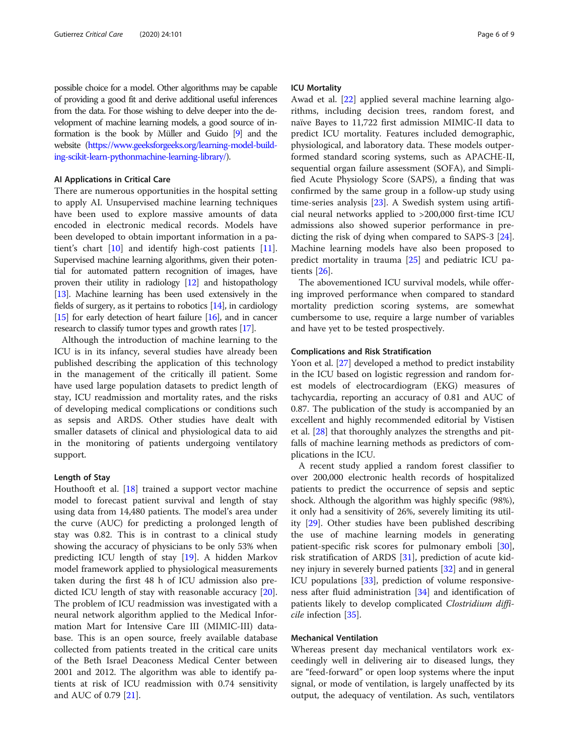possible choice for a model. Other algorithms may be capable of providing a good fit and derive additional useful inferences from the data. For those wishing to delve deeper into the development of machine learning models, a good source of information is the book by Müller and Guido [[9](#page-7-0)] and the website [\(https://www.geeksforgeeks.org/learning-model-build](https://www.geeksforgeeks.org/learning-model-building-scikit-learn-pythonmachine-learning-library/)[ing-scikit-learn-pythonmachine-learning-library/\)](https://www.geeksforgeeks.org/learning-model-building-scikit-learn-pythonmachine-learning-library/).

#### AI Applications in Critical Care

There are numerous opportunities in the hospital setting to apply AI. Unsupervised machine learning techniques have been used to explore massive amounts of data encoded in electronic medical records. Models have been developed to obtain important information in a patient's chart [\[10](#page-7-0)] and identify high-cost patients [\[11](#page-7-0)]. Supervised machine learning algorithms, given their potential for automated pattern recognition of images, have proven their utility in radiology [\[12\]](#page-7-0) and histopathology [[13](#page-7-0)]. Machine learning has been used extensively in the fields of surgery, as it pertains to robotics [\[14](#page-7-0)], in cardiology  $[15]$  $[15]$  $[15]$  for early detection of heart failure  $[16]$  $[16]$  $[16]$ , and in cancer research to classify tumor types and growth rates [[17](#page-8-0)].

Although the introduction of machine learning to the ICU is in its infancy, several studies have already been published describing the application of this technology in the management of the critically ill patient. Some have used large population datasets to predict length of stay, ICU readmission and mortality rates, and the risks of developing medical complications or conditions such as sepsis and ARDS. Other studies have dealt with smaller datasets of clinical and physiological data to aid in the monitoring of patients undergoing ventilatory support.

#### Length of Stay

Houthooft et al. [[18\]](#page-8-0) trained a support vector machine model to forecast patient survival and length of stay using data from 14,480 patients. The model's area under the curve (AUC) for predicting a prolonged length of stay was 0.82. This is in contrast to a clinical study showing the accuracy of physicians to be only 53% when predicting ICU length of stay [\[19](#page-8-0)]. A hidden Markov model framework applied to physiological measurements taken during the first 48 h of ICU admission also predicted ICU length of stay with reasonable accuracy [\[20](#page-8-0)]. The problem of ICU readmission was investigated with a neural network algorithm applied to the Medical Information Mart for Intensive Care III (MIMIC-III) database. This is an open source, freely available database collected from patients treated in the critical care units of the Beth Israel Deaconess Medical Center between 2001 and 2012. The algorithm was able to identify patients at risk of ICU readmission with 0.74 sensitivity and AUC of 0.79 [\[21](#page-8-0)].

#### ICU Mortality

Awad et al. [\[22\]](#page-8-0) applied several machine learning algorithms, including decision trees, random forest, and naïve Bayes to 11,722 first admission MIMIC-II data to predict ICU mortality. Features included demographic, physiological, and laboratory data. These models outperformed standard scoring systems, such as APACHE-II, sequential organ failure assessment (SOFA), and Simplified Acute Physiology Score (SAPS), a finding that was confirmed by the same group in a follow-up study using time-series analysis [[23](#page-8-0)]. A Swedish system using artificial neural networks applied to >200,000 first-time ICU admissions also showed superior performance in predicting the risk of dying when compared to SAPS-3 [\[24](#page-8-0)]. Machine learning models have also been proposed to predict mortality in trauma [[25\]](#page-8-0) and pediatric ICU patients [\[26](#page-8-0)].

The abovementioned ICU survival models, while offering improved performance when compared to standard mortality prediction scoring systems, are somewhat cumbersome to use, require a large number of variables and have yet to be tested prospectively.

#### Complications and Risk Stratification

Yoon et al. [[27\]](#page-8-0) developed a method to predict instability in the ICU based on logistic regression and random forest models of electrocardiogram (EKG) measures of tachycardia, reporting an accuracy of 0.81 and AUC of 0.87. The publication of the study is accompanied by an excellent and highly recommended editorial by Vistisen et al. [[28](#page-8-0)] that thoroughly analyzes the strengths and pitfalls of machine learning methods as predictors of complications in the ICU.

A recent study applied a random forest classifier to over 200,000 electronic health records of hospitalized patients to predict the occurrence of sepsis and septic shock. Although the algorithm was highly specific (98%), it only had a sensitivity of 26%, severely limiting its utility [[29\]](#page-8-0). Other studies have been published describing the use of machine learning models in generating patient-specific risk scores for pulmonary emboli [\[30](#page-8-0)], risk stratification of ARDS [[31](#page-8-0)], prediction of acute kidney injury in severely burned patients [\[32](#page-8-0)] and in general ICU populations [[33\]](#page-8-0), prediction of volume responsiveness after fluid administration [\[34](#page-8-0)] and identification of patients likely to develop complicated Clostridium difficile infection [\[35](#page-8-0)].

#### Mechanical Ventilation

Whereas present day mechanical ventilators work exceedingly well in delivering air to diseased lungs, they are "feed-forward" or open loop systems where the input signal, or mode of ventilation, is largely unaffected by its output, the adequacy of ventilation. As such, ventilators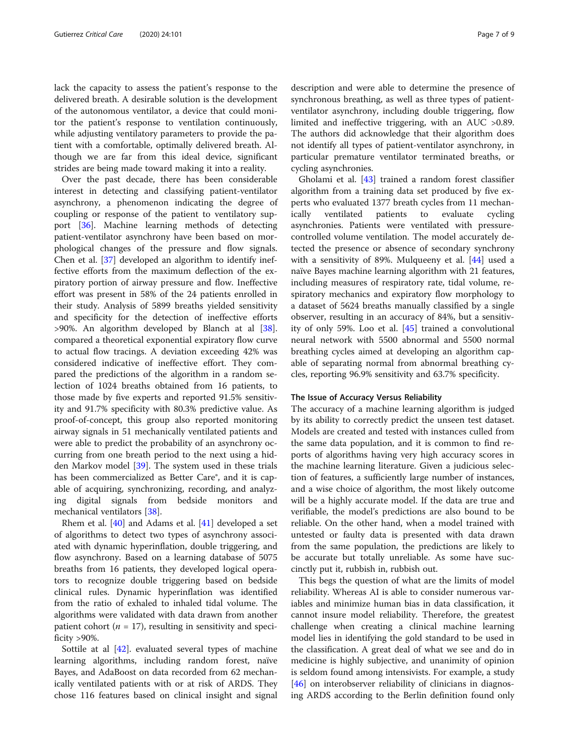lack the capacity to assess the patient's response to the delivered breath. A desirable solution is the development of the autonomous ventilator, a device that could monitor the patient's response to ventilation continuously, while adjusting ventilatory parameters to provide the patient with a comfortable, optimally delivered breath. Although we are far from this ideal device, significant strides are being made toward making it into a reality.

Over the past decade, there has been considerable interest in detecting and classifying patient-ventilator asynchrony, a phenomenon indicating the degree of coupling or response of the patient to ventilatory support [\[36](#page-8-0)]. Machine learning methods of detecting patient-ventilator asynchrony have been based on morphological changes of the pressure and flow signals. Chen et al. [[37](#page-8-0)] developed an algorithm to identify ineffective efforts from the maximum deflection of the expiratory portion of airway pressure and flow. Ineffective effort was present in 58% of the 24 patients enrolled in their study. Analysis of 5899 breaths yielded sensitivity and specificity for the detection of ineffective efforts >90%. An algorithm developed by Blanch at al [\[38](#page-8-0)]. compared a theoretical exponential expiratory flow curve to actual flow tracings. A deviation exceeding 42% was considered indicative of ineffective effort. They compared the predictions of the algorithm in a random selection of 1024 breaths obtained from 16 patients, to those made by five experts and reported 91.5% sensitivity and 91.7% specificity with 80.3% predictive value. As proof-of-concept, this group also reported monitoring airway signals in 51 mechanically ventilated patients and were able to predict the probability of an asynchrony occurring from one breath period to the next using a hidden Markov model [[39](#page-8-0)]. The system used in these trials has been commercialized as Better Care®, and it is capable of acquiring, synchronizing, recording, and analyzing digital signals from bedside monitors and mechanical ventilators [\[38](#page-8-0)].

Rhem et al. [\[40](#page-8-0)] and Adams et al. [[41\]](#page-8-0) developed a set of algorithms to detect two types of asynchrony associated with dynamic hyperinflation, double triggering, and flow asynchrony. Based on a learning database of 5075 breaths from 16 patients, they developed logical operators to recognize double triggering based on bedside clinical rules. Dynamic hyperinflation was identified from the ratio of exhaled to inhaled tidal volume. The algorithms were validated with data drawn from another patient cohort ( $n = 17$ ), resulting in sensitivity and specificity  $>90\%$ .

Sottile at al [\[42](#page-8-0)]. evaluated several types of machine learning algorithms, including random forest, naïve Bayes, and AdaBoost on data recorded from 62 mechanically ventilated patients with or at risk of ARDS. They chose 116 features based on clinical insight and signal description and were able to determine the presence of synchronous breathing, as well as three types of patientventilator asynchrony, including double triggering, flow limited and ineffective triggering, with an AUC >0.89. The authors did acknowledge that their algorithm does not identify all types of patient-ventilator asynchrony, in particular premature ventilator terminated breaths, or cycling asynchronies.

Gholami et al. [[43\]](#page-8-0) trained a random forest classifier algorithm from a training data set produced by five experts who evaluated 1377 breath cycles from 11 mechanically ventilated patients to evaluate cycling asynchronies. Patients were ventilated with pressurecontrolled volume ventilation. The model accurately detected the presence or absence of secondary synchrony with a sensitivity of 89%. Mulqueeny et al. [\[44\]](#page-8-0) used a naïve Bayes machine learning algorithm with 21 features, including measures of respiratory rate, tidal volume, respiratory mechanics and expiratory flow morphology to a dataset of 5624 breaths manually classified by a single observer, resulting in an accuracy of 84%, but a sensitivity of only 59%. Loo et al. [\[45\]](#page-8-0) trained a convolutional neural network with 5500 abnormal and 5500 normal breathing cycles aimed at developing an algorithm capable of separating normal from abnormal breathing cycles, reporting 96.9% sensitivity and 63.7% specificity.

#### The Issue of Accuracy Versus Reliability

The accuracy of a machine learning algorithm is judged by its ability to correctly predict the unseen test dataset. Models are created and tested with instances culled from the same data population, and it is common to find reports of algorithms having very high accuracy scores in the machine learning literature. Given a judicious selection of features, a sufficiently large number of instances, and a wise choice of algorithm, the most likely outcome will be a highly accurate model. If the data are true and verifiable, the model's predictions are also bound to be reliable. On the other hand, when a model trained with untested or faulty data is presented with data drawn from the same population, the predictions are likely to be accurate but totally unreliable. As some have succinctly put it, rubbish in, rubbish out.

This begs the question of what are the limits of model reliability. Whereas AI is able to consider numerous variables and minimize human bias in data classification, it cannot insure model reliability. Therefore, the greatest challenge when creating a clinical machine learning model lies in identifying the gold standard to be used in the classification. A great deal of what we see and do in medicine is highly subjective, and unanimity of opinion is seldom found among intensivists. For example, a study [[46\]](#page-8-0) on interobserver reliability of clinicians in diagnosing ARDS according to the Berlin definition found only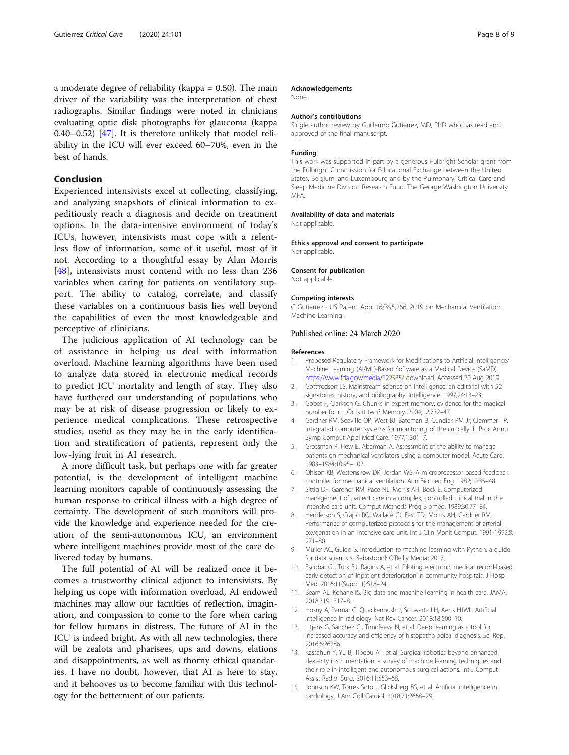<span id="page-7-0"></span>a moderate degree of reliability (kappa = 0.50). The main driver of the variability was the interpretation of chest radiographs. Similar findings were noted in clinicians evaluating optic disk photographs for glaucoma (kappa 0.40–0.52) [[47\]](#page-8-0). It is therefore unlikely that model reliability in the ICU will ever exceed 60–70%, even in the best of hands.

#### Conclusion

Experienced intensivists excel at collecting, classifying, and analyzing snapshots of clinical information to expeditiously reach a diagnosis and decide on treatment options. In the data-intensive environment of today's ICUs, however, intensivists must cope with a relentless flow of information, some of it useful, most of it not. According to a thoughtful essay by Alan Morris [[48\]](#page-8-0), intensivists must contend with no less than 236 variables when caring for patients on ventilatory support. The ability to catalog, correlate, and classify these variables on a continuous basis lies well beyond the capabilities of even the most knowledgeable and perceptive of clinicians.

The judicious application of AI technology can be of assistance in helping us deal with information overload. Machine learning algorithms have been used to analyze data stored in electronic medical records to predict ICU mortality and length of stay. They also have furthered our understanding of populations who may be at risk of disease progression or likely to experience medical complications. These retrospective studies, useful as they may be in the early identification and stratification of patients, represent only the low-lying fruit in AI research.

A more difficult task, but perhaps one with far greater potential, is the development of intelligent machine learning monitors capable of continuously assessing the human response to critical illness with a high degree of certainty. The development of such monitors will provide the knowledge and experience needed for the creation of the semi-autonomous ICU, an environment where intelligent machines provide most of the care delivered today by humans.

The full potential of AI will be realized once it becomes a trustworthy clinical adjunct to intensivists. By helping us cope with information overload, AI endowed machines may allow our faculties of reflection, imagination, and compassion to come to the fore when caring for fellow humans in distress. The future of AI in the ICU is indeed bright. As with all new technologies, there will be zealots and pharisees, ups and downs, elations and disappointments, as well as thorny ethical quandaries. I have no doubt, however, that AI is here to stay, and it behooves us to become familiar with this technology for the betterment of our patients.

#### Acknowledgements

None.

#### Author's contributions

Single author review by Guillermo Gutierrez, MD, PhD who has read and approved of the final manuscript.

#### Funding

This work was supported in part by a generous Fulbright Scholar grant from the Fulbright Commission for Educational Exchange between the United States, Belgium, and Luxembourg and by the Pulmonary, Critical Care and Sleep Medicine Division Research Fund. The George Washington University MFA.

#### Availability of data and materials

Not applicable.

Ethics approval and consent to participate Not applicable.

# Consent for publication

Not applicable.

#### Competing interests

G Gutierrez - US Patent App. 16/395,266, 2019 on Mechanical Ventilation Machine Learning.

#### Published online: 24 March 2020

#### **References**

- 1. Proposed Regulatory Framework for Modifications to Artificial Intelligence/ Machine Learning (AI/ML)-Based Software as a Medical Device (SaMD). <https://www.fda.gov/media/122535/> download. Accessed 20 Aug 2019.
- 2. Gottfredson LS. Mainstream science on intelligence: an editorial with 52 signatories, history, and bibliography. Intelligence. 1997;24:13–23.
- 3. Gobet F, Clarkson G. Chunks in expert memory: evidence for the magical number four ... Or is it two? Memory. 2004;12:732–47.
- 4. Gardner RM, Scoville OP, West BJ, Bateman B, Cundick RM Jr, Clemmer TP. Integrated computer systems for monitoring of the critically ill. Proc Annu Symp Comput Appl Med Care. 1977;1:301–7.
- 5. Grossman R, Hew E, Aberman A. Assessment of the ability to manage patients on mechanical ventilators using a computer model. Acute Care. 1983–1984;10:95–102.
- 6. Ohlson KB, Westenskow DR, Jordan WS. A microprocessor based feedback controller for mechanical ventilation. Ann Biomed Eng. 1982;10:35–48.
- 7. Sittig DF, Gardner RM, Pace NL, Morris AH, Beck E. Computerized management of patient care in a complex, controlled clinical trial in the intensive care unit. Comput Methods Prog Biomed. 1989;30:77–84.
- 8. Henderson S, Crapo RO, Wallace CJ, East TD, Morris AH, Gardner RM. Performance of computerized protocols for the management of arterial oxygenation in an intensive care unit. Int J Clin Monit Comput. 1991-1992;8: 271–80.
- 9. Müller AC, Guido S. Introduction to machine learning with Python: a guide for data scientists. Sebastopol: O'Reilly Media; 2017.
- 10. Escobar GJ, Turk BJ, Ragins A, et al. Piloting electronic medical record-based early detection of inpatient deterioration in community hospitals. J Hosp Med. 2016;11(Suppl 1):S18–24.
- 11. Beam AL, Kohane IS. Big data and machine learning in health care. JAMA. 2018;319:1317–8.
- 12. Hosny A, Parmar C, Quackenbush J, Schwartz LH, Aerts HJWL. Artificial intelligence in radiology. Nat Rev Cancer. 2018;18:500–10.
- 13. Litjens G, Sánchez CI, Timofeeva N, et al. Deep learning as a tool for increased accuracy and efficiency of histopathological diagnosis. Sci Rep. 2016;6:26286.
- 14. Kassahun Y, Yu B, Tibebu AT, et al. Surgical robotics beyond enhanced dexterity instrumentation: a survey of machine learning techniques and their role in intelligent and autonomous surgical actions. Int J Comput Assist Radiol Surg. 2016;11:553–68.
- 15. Johnson KW, Torres Soto J, Glicksberg BS, et al. Artificial intelligence in cardiology. J Am Coll Cardiol. 2018;71:2668–79.